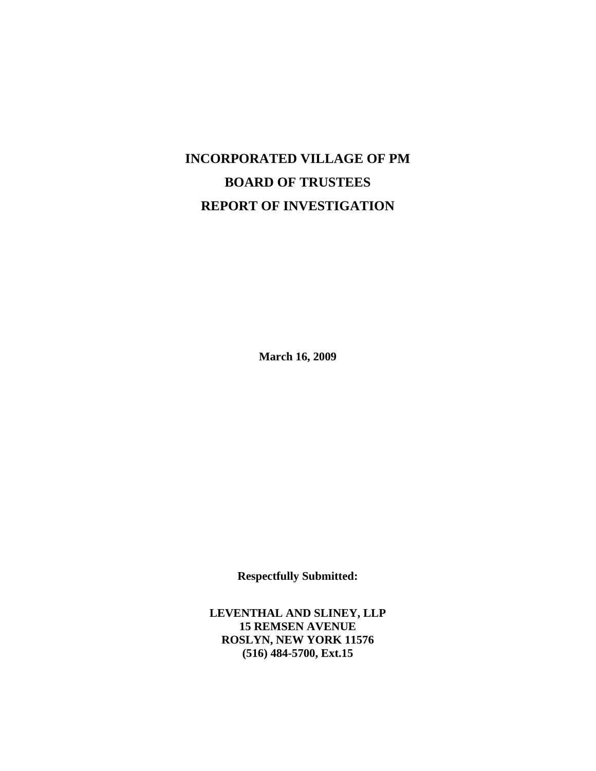# **INCORPORATED VILLAGE OF PM BOARD OF TRUSTEES REPORT OF INVESTIGATION**

**March 16, 2009** 

**Respectfully Submitted:** 

**LEVENTHAL AND SLINEY, LLP 15 REMSEN AVENUE ROSLYN, NEW YORK 11576 (516) 484-5700, Ext.15**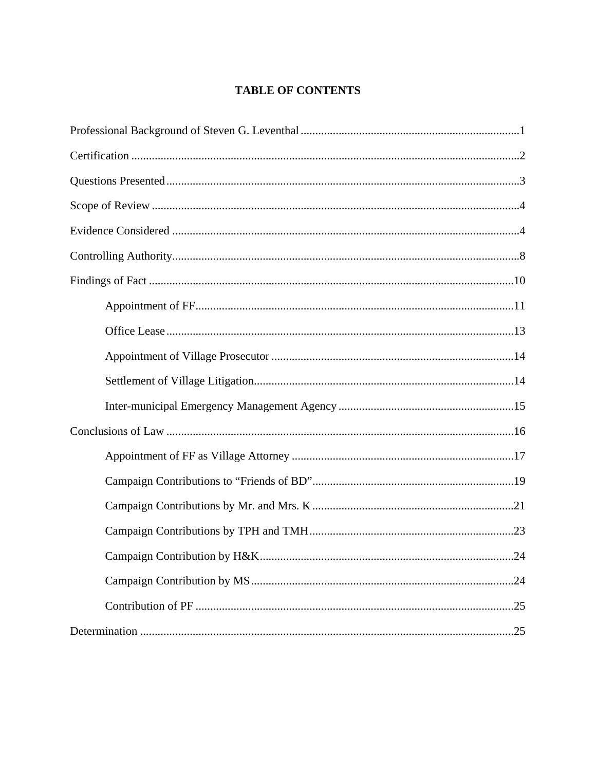# **TABLE OF CONTENTS**

| .24 |
|-----|
|     |
|     |
|     |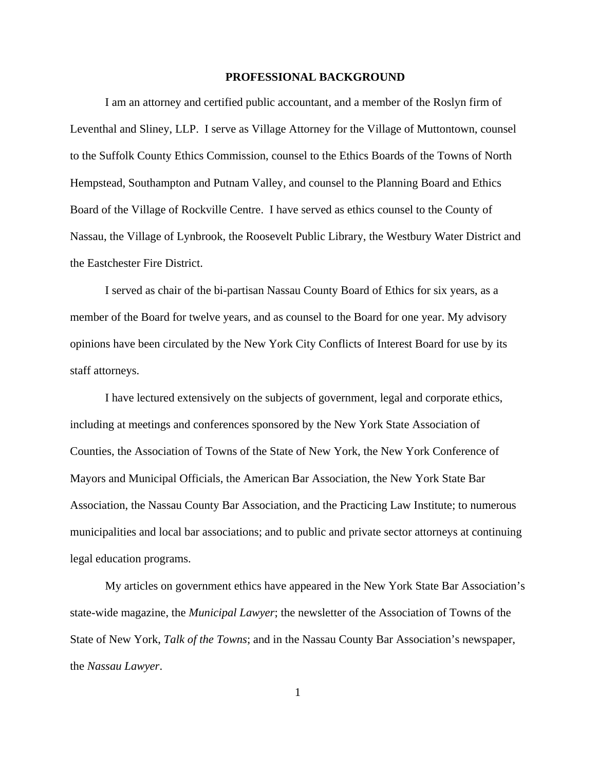# **PROFESSIONAL BACKGROUND**

I am an attorney and certified public accountant, and a member of the Roslyn firm of Leventhal and Sliney, LLP. I serve as Village Attorney for the Village of Muttontown, counsel to the Suffolk County Ethics Commission, counsel to the Ethics Boards of the Towns of North Hempstead, Southampton and Putnam Valley, and counsel to the Planning Board and Ethics Board of the Village of Rockville Centre. I have served as ethics counsel to the County of Nassau, the Village of Lynbrook, the Roosevelt Public Library, the Westbury Water District and the Eastchester Fire District.

I served as chair of the bi-partisan Nassau County Board of Ethics for six years, as a member of the Board for twelve years, and as counsel to the Board for one year. My advisory opinions have been circulated by the New York City Conflicts of Interest Board for use by its staff attorneys.

I have lectured extensively on the subjects of government, legal and corporate ethics, including at meetings and conferences sponsored by the New York State Association of Counties, the Association of Towns of the State of New York, the New York Conference of Mayors and Municipal Officials, the American Bar Association, the New York State Bar Association, the Nassau County Bar Association, and the Practicing Law Institute; to numerous municipalities and local bar associations; and to public and private sector attorneys at continuing legal education programs.

My articles on government ethics have appeared in the New York State Bar Association's state-wide magazine, the *Municipal Lawyer*; the newsletter of the Association of Towns of the State of New York, *Talk of the Towns*; and in the Nassau County Bar Association's newspaper, the *Nassau Lawyer*.

1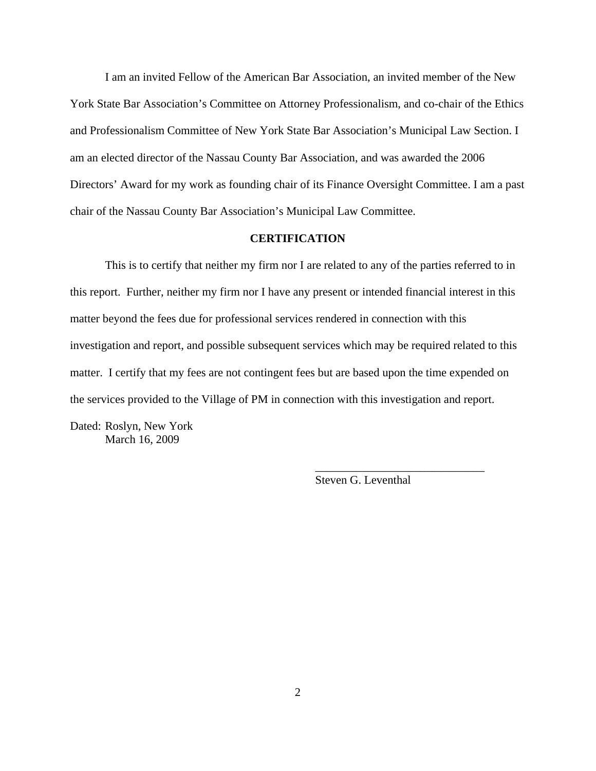I am an invited Fellow of the American Bar Association, an invited member of the New York State Bar Association's Committee on Attorney Professionalism, and co-chair of the Ethics and Professionalism Committee of New York State Bar Association's Municipal Law Section. I am an elected director of the Nassau County Bar Association, and was awarded the 2006 Directors' Award for my work as founding chair of its Finance Oversight Committee. I am a past chair of the Nassau County Bar Association's Municipal Law Committee.

### **CERTIFICATION**

This is to certify that neither my firm nor I are related to any of the parties referred to in this report. Further, neither my firm nor I have any present or intended financial interest in this matter beyond the fees due for professional services rendered in connection with this investigation and report, and possible subsequent services which may be required related to this matter. I certify that my fees are not contingent fees but are based upon the time expended on the services provided to the Village of PM in connection with this investigation and report.

 $\overline{\phantom{a}}$  , and the contract of the contract of the contract of the contract of the contract of the contract of the contract of the contract of the contract of the contract of the contract of the contract of the contrac

Dated: Roslyn, New York March 16, 2009

Steven G. Leventhal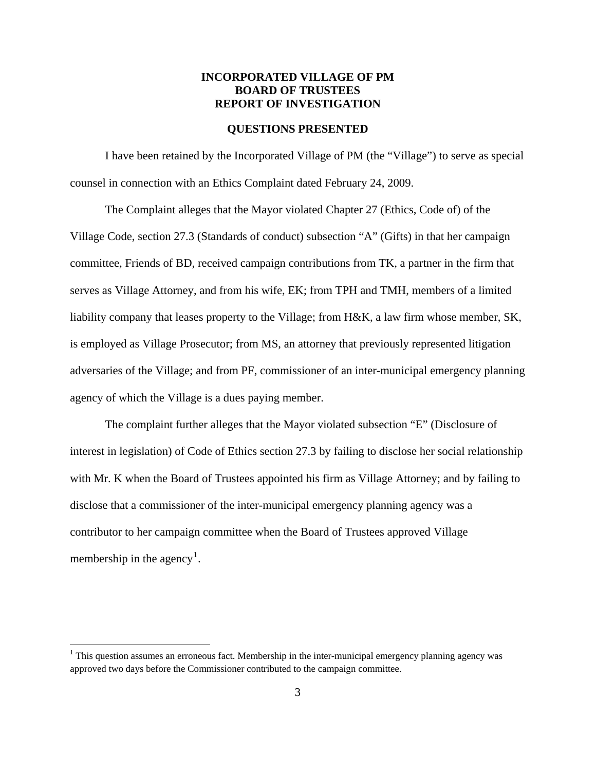# **INCORPORATED VILLAGE OF PM BOARD OF TRUSTEES REPORT OF INVESTIGATION**

#### **QUESTIONS PRESENTED**

I have been retained by the Incorporated Village of PM (the "Village") to serve as special counsel in connection with an Ethics Complaint dated February 24, 2009.

The Complaint alleges that the Mayor violated Chapter 27 (Ethics, Code of) of the Village Code, section 27.3 (Standards of conduct) subsection "A" (Gifts) in that her campaign committee, Friends of BD, received campaign contributions from TK, a partner in the firm that serves as Village Attorney, and from his wife, EK; from TPH and TMH, members of a limited liability company that leases property to the Village; from H&K, a law firm whose member, SK, is employed as Village Prosecutor; from MS, an attorney that previously represented litigation adversaries of the Village; and from PF, commissioner of an inter-municipal emergency planning agency of which the Village is a dues paying member.

 The complaint further alleges that the Mayor violated subsection "E" (Disclosure of interest in legislation) of Code of Ethics section 27.3 by failing to disclose her social relationship with Mr. K when the Board of Trustees appointed his firm as Village Attorney; and by failing to disclose that a commissioner of the inter-municipal emergency planning agency was a contributor to her campaign committee when the Board of Trustees approved Village membership in the agency<sup>[1](#page-4-0)</sup>.

<span id="page-4-0"></span> $1$  This question assumes an erroneous fact. Membership in the inter-municipal emergency planning agency was approved two days before the Commissioner contributed to the campaign committee.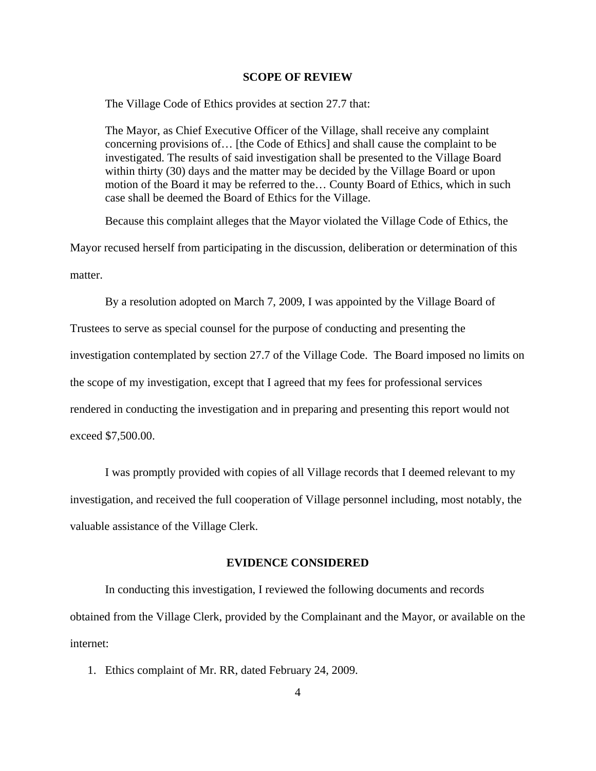#### **SCOPE OF REVIEW**

The Village Code of Ethics provides at section 27.7 that:

The Mayor, as Chief Executive Officer of the Village, shall receive any complaint concerning provisions of… [the Code of Ethics] and shall cause the complaint to be investigated. The results of said investigation shall be presented to the Village Board within thirty (30) days and the matter may be decided by the Village Board or upon motion of the Board it may be referred to the… County Board of Ethics, which in such case shall be deemed the Board of Ethics for the Village.

Because this complaint alleges that the Mayor violated the Village Code of Ethics, the

Mayor recused herself from participating in the discussion, deliberation or determination of this matter.

By a resolution adopted on March 7, 2009, I was appointed by the Village Board of

Trustees to serve as special counsel for the purpose of conducting and presenting the

investigation contemplated by section 27.7 of the Village Code. The Board imposed no limits on

the scope of my investigation, except that I agreed that my fees for professional services

rendered in conducting the investigation and in preparing and presenting this report would not

exceed \$7,500.00.

I was promptly provided with copies of all Village records that I deemed relevant to my investigation, and received the full cooperation of Village personnel including, most notably, the valuable assistance of the Village Clerk.

#### **EVIDENCE CONSIDERED**

 In conducting this investigation, I reviewed the following documents and records obtained from the Village Clerk, provided by the Complainant and the Mayor, or available on the internet:

1. Ethics complaint of Mr. RR, dated February 24, 2009.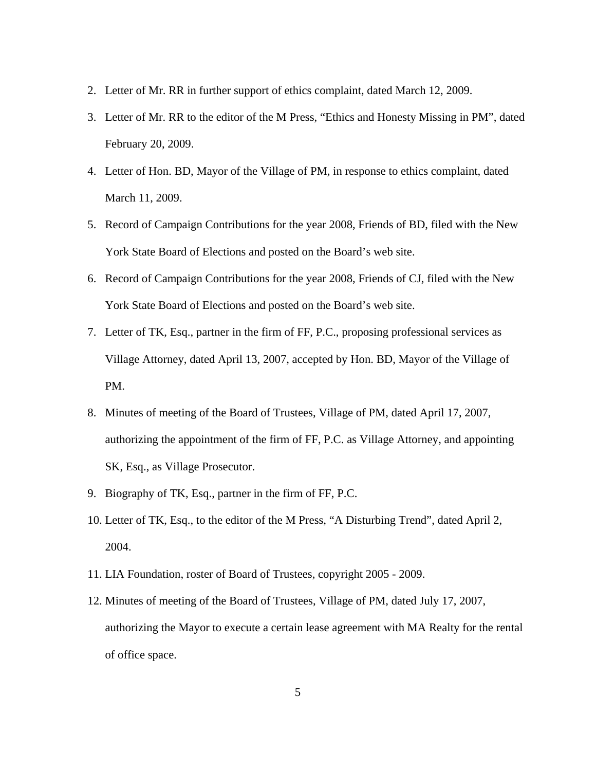- 2. Letter of Mr. RR in further support of ethics complaint, dated March 12, 2009.
- 3. Letter of Mr. RR to the editor of the M Press, "Ethics and Honesty Missing in PM", dated February 20, 2009.
- 4. Letter of Hon. BD, Mayor of the Village of PM, in response to ethics complaint, dated March 11, 2009.
- 5. Record of Campaign Contributions for the year 2008, Friends of BD, filed with the New York State Board of Elections and posted on the Board's web site.
- 6. Record of Campaign Contributions for the year 2008, Friends of CJ, filed with the New York State Board of Elections and posted on the Board's web site.
- 7. Letter of TK, Esq., partner in the firm of FF, P.C., proposing professional services as Village Attorney, dated April 13, 2007, accepted by Hon. BD, Mayor of the Village of PM.
- 8. Minutes of meeting of the Board of Trustees, Village of PM, dated April 17, 2007, authorizing the appointment of the firm of FF, P.C. as Village Attorney, and appointing SK, Esq., as Village Prosecutor.
- 9. Biography of TK, Esq., partner in the firm of FF, P.C.
- 10. Letter of TK, Esq., to the editor of the M Press, "A Disturbing Trend", dated April 2, 2004.
- 11. LIA Foundation, roster of Board of Trustees, copyright 2005 2009.
- 12. Minutes of meeting of the Board of Trustees, Village of PM, dated July 17, 2007, authorizing the Mayor to execute a certain lease agreement with MA Realty for the rental of office space.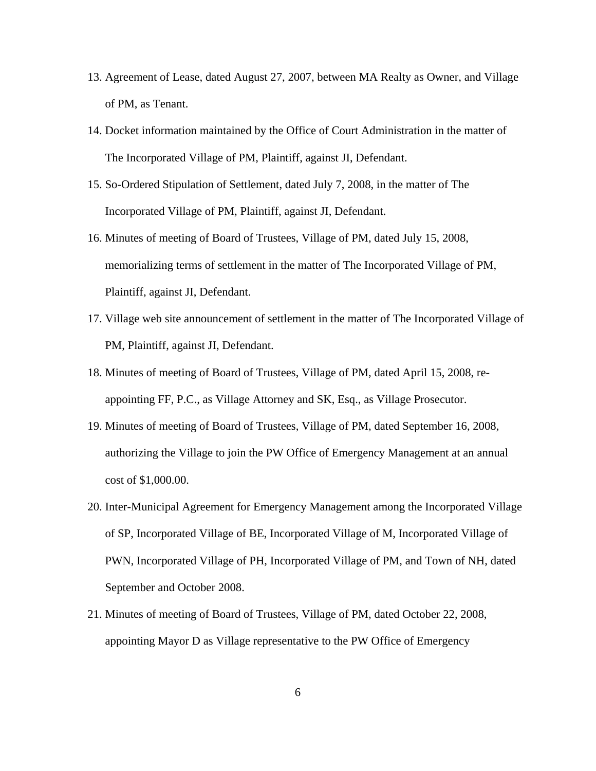- 13. Agreement of Lease, dated August 27, 2007, between MA Realty as Owner, and Village of PM, as Tenant.
- 14. Docket information maintained by the Office of Court Administration in the matter of The Incorporated Village of PM, Plaintiff, against JI, Defendant.
- 15. So-Ordered Stipulation of Settlement, dated July 7, 2008, in the matter of The Incorporated Village of PM, Plaintiff, against JI, Defendant.
- 16. Minutes of meeting of Board of Trustees, Village of PM, dated July 15, 2008, memorializing terms of settlement in the matter of The Incorporated Village of PM, Plaintiff, against JI, Defendant.
- 17. Village web site announcement of settlement in the matter of The Incorporated Village of PM, Plaintiff, against JI, Defendant.
- 18. Minutes of meeting of Board of Trustees, Village of PM, dated April 15, 2008, reappointing FF, P.C., as Village Attorney and SK, Esq., as Village Prosecutor.
- 19. Minutes of meeting of Board of Trustees, Village of PM, dated September 16, 2008, authorizing the Village to join the PW Office of Emergency Management at an annual cost of \$1,000.00.
- 20. Inter-Municipal Agreement for Emergency Management among the Incorporated Village of SP, Incorporated Village of BE, Incorporated Village of M, Incorporated Village of PWN, Incorporated Village of PH, Incorporated Village of PM, and Town of NH, dated September and October 2008.
- 21. Minutes of meeting of Board of Trustees, Village of PM, dated October 22, 2008, appointing Mayor D as Village representative to the PW Office of Emergency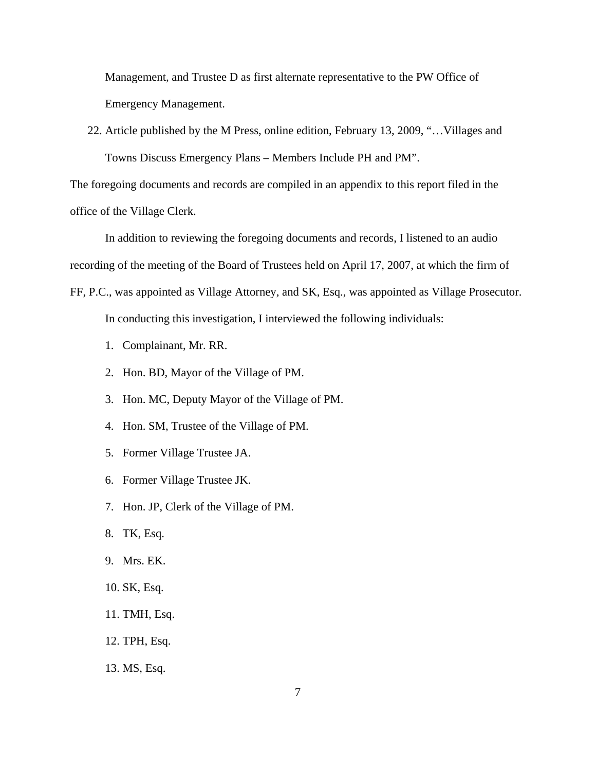Management, and Trustee D as first alternate representative to the PW Office of Emergency Management.

22. Article published by the M Press, online edition, February 13, 2009, "…Villages and Towns Discuss Emergency Plans – Members Include PH and PM".

The foregoing documents and records are compiled in an appendix to this report filed in the office of the Village Clerk.

 In addition to reviewing the foregoing documents and records, I listened to an audio recording of the meeting of the Board of Trustees held on April 17, 2007, at which the firm of FF, P.C., was appointed as Village Attorney, and SK, Esq., was appointed as Village Prosecutor.

In conducting this investigation, I interviewed the following individuals:

- 1. Complainant, Mr. RR.
- 2. Hon. BD, Mayor of the Village of PM.
- 3. Hon. MC, Deputy Mayor of the Village of PM.
- 4. Hon. SM, Trustee of the Village of PM.
- 5. Former Village Trustee JA.
- 6. Former Village Trustee JK.
- 7. Hon. JP, Clerk of the Village of PM.
- 8. TK, Esq.
- 9. Mrs. EK.
- 10. SK, Esq.
- 11. TMH, Esq.
- 12. TPH, Esq.
- 13. MS, Esq.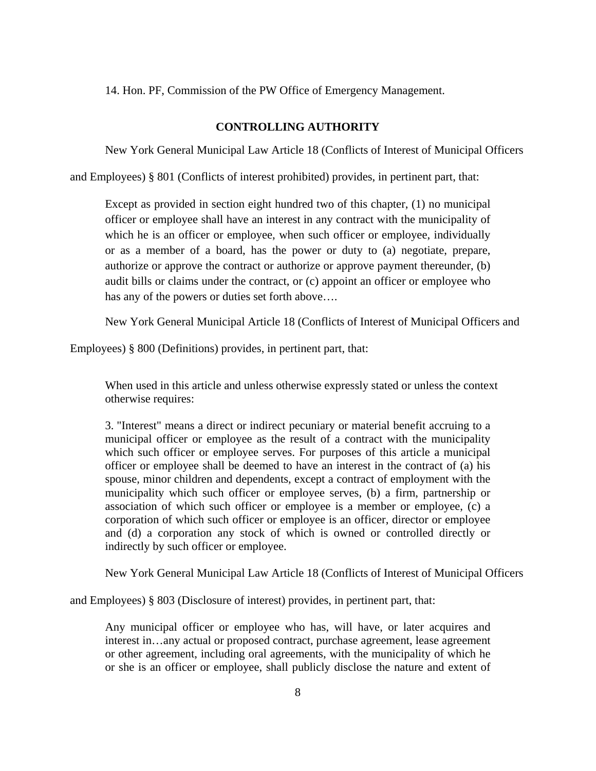14. Hon. PF, Commission of the PW Office of Emergency Management.

# **CONTROLLING AUTHORITY**

New York General Municipal Law Article 18 (Conflicts of Interest of Municipal Officers

and Employees) § 801 (Conflicts of interest prohibited) provides, in pertinent part, that:

Except as provided in section eight hundred two of this chapter, (1) no municipal officer or employee shall have an interest in any contract with the municipality of which he is an officer or employee, when such officer or employee, individually or as a member of a board, has the power or duty to (a) negotiate, prepare, authorize or approve the contract or authorize or approve payment thereunder, (b) audit bills or claims under the contract, or (c) appoint an officer or employee who has any of the powers or duties set forth above….

New York General Municipal Article 18 (Conflicts of Interest of Municipal Officers and

Employees) § 800 (Definitions) provides, in pertinent part, that:

When used in this article and unless otherwise expressly stated or unless the context otherwise requires:

3. "Interest" means a direct or indirect pecuniary or material benefit accruing to a municipal officer or employee as the result of a contract with the municipality which such officer or employee serves. For purposes of this article a municipal officer or employee shall be deemed to have an interest in the contract of (a) his spouse, minor children and dependents, except a contract of employment with the municipality which such officer or employee serves, (b) a firm, partnership or association of which such officer or employee is a member or employee, (c) a corporation of which such officer or employee is an officer, director or employee and (d) a corporation any stock of which is owned or controlled directly or indirectly by such officer or employee.

New York General Municipal Law Article 18 (Conflicts of Interest of Municipal Officers

and Employees) § 803 (Disclosure of interest) provides, in pertinent part, that:

Any municipal officer or employee who has, will have, or later acquires and interest in…any actual or proposed contract, purchase agreement, lease agreement or other agreement, including oral agreements, with the municipality of which he or she is an officer or employee, shall publicly disclose the nature and extent of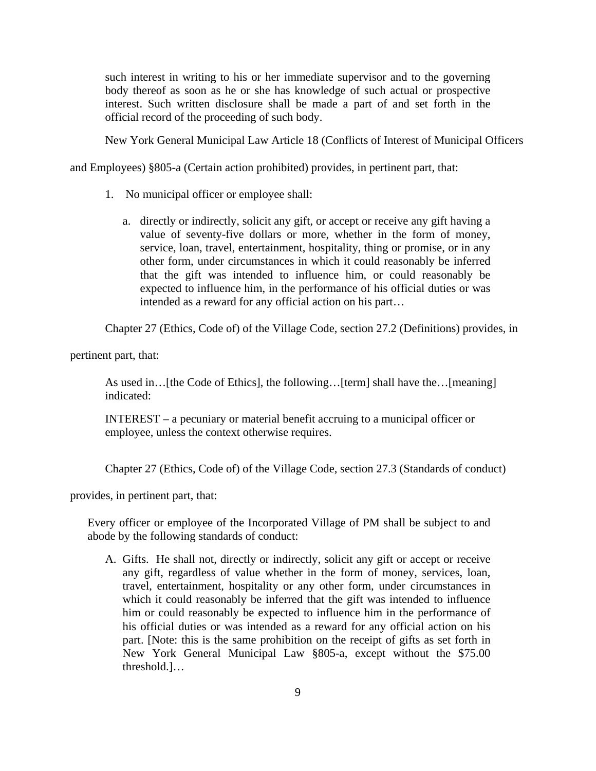such interest in writing to his or her immediate supervisor and to the governing body thereof as soon as he or she has knowledge of such actual or prospective interest. Such written disclosure shall be made a part of and set forth in the official record of the proceeding of such body.

New York General Municipal Law Article 18 (Conflicts of Interest of Municipal Officers

and Employees) §805-a (Certain action prohibited) provides, in pertinent part, that:

- 1. No municipal officer or employee shall:
	- a. directly or indirectly, solicit any gift, or accept or receive any gift having a value of seventy-five dollars or more, whether in the form of money, service, loan, travel, entertainment, hospitality, thing or promise, or in any other form, under circumstances in which it could reasonably be inferred that the gift was intended to influence him, or could reasonably be expected to influence him, in the performance of his official duties or was intended as a reward for any official action on his part…

Chapter 27 (Ethics, Code of) of the Village Code, section 27.2 (Definitions) provides, in

pertinent part, that:

As used in…[the Code of Ethics], the following…[term] shall have the…[meaning] indicated:

INTEREST – a pecuniary or material benefit accruing to a municipal officer or employee, unless the context otherwise requires.

Chapter 27 (Ethics, Code of) of the Village Code, section 27.3 (Standards of conduct)

provides, in pertinent part, that:

Every officer or employee of the Incorporated Village of PM shall be subject to and abode by the following standards of conduct:

A. Gifts. He shall not, directly or indirectly, solicit any gift or accept or receive any gift, regardless of value whether in the form of money, services, loan, travel, entertainment, hospitality or any other form, under circumstances in which it could reasonably be inferred that the gift was intended to influence him or could reasonably be expected to influence him in the performance of his official duties or was intended as a reward for any official action on his part. [Note: this is the same prohibition on the receipt of gifts as set forth in New York General Municipal Law §805-a, except without the \$75.00 threshold.]…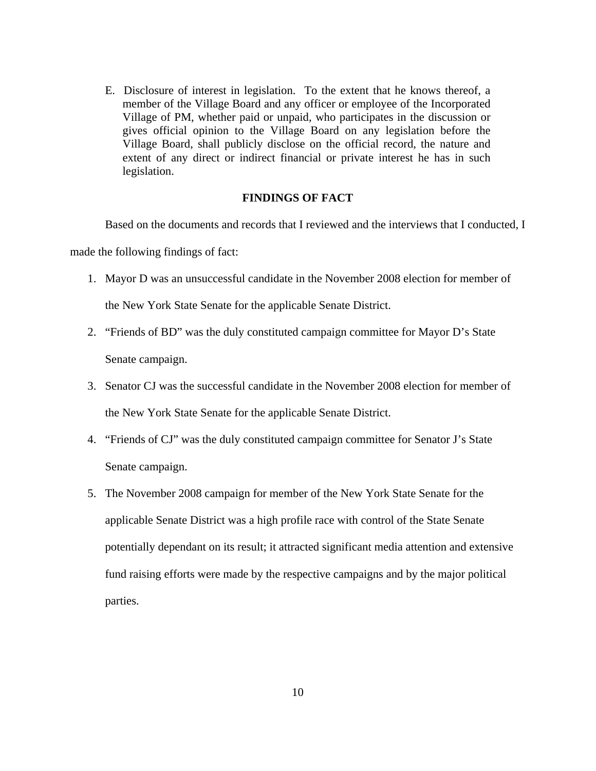E. Disclosure of interest in legislation. To the extent that he knows thereof, a member of the Village Board and any officer or employee of the Incorporated Village of PM, whether paid or unpaid, who participates in the discussion or gives official opinion to the Village Board on any legislation before the Village Board, shall publicly disclose on the official record, the nature and extent of any direct or indirect financial or private interest he has in such legislation.

#### **FINDINGS OF FACT**

Based on the documents and records that I reviewed and the interviews that I conducted, I

made the following findings of fact:

1. Mayor D was an unsuccessful candidate in the November 2008 election for member of the New York State Senate for the applicable Senate District.

2. "Friends of BD" was the duly constituted campaign committee for Mayor D's State

Senate campaign.

- 3. Senator CJ was the successful candidate in the November 2008 election for member of the New York State Senate for the applicable Senate District.
- 4. "Friends of CJ" was the duly constituted campaign committee for Senator J's State Senate campaign.
- 5. The November 2008 campaign for member of the New York State Senate for the applicable Senate District was a high profile race with control of the State Senate potentially dependant on its result; it attracted significant media attention and extensive fund raising efforts were made by the respective campaigns and by the major political parties.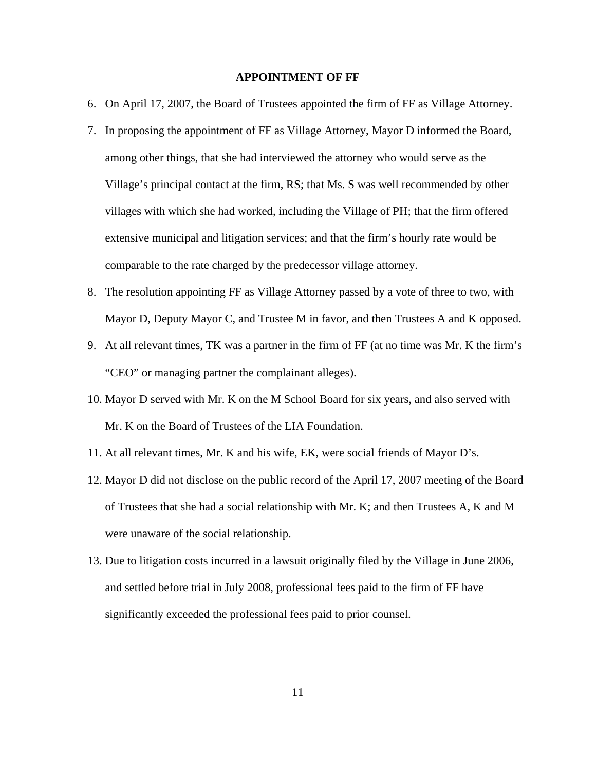#### **APPOINTMENT OF FF**

- 6. On April 17, 2007, the Board of Trustees appointed the firm of FF as Village Attorney.
- 7. In proposing the appointment of FF as Village Attorney, Mayor D informed the Board, among other things, that she had interviewed the attorney who would serve as the Village's principal contact at the firm, RS; that Ms. S was well recommended by other villages with which she had worked, including the Village of PH; that the firm offered extensive municipal and litigation services; and that the firm's hourly rate would be comparable to the rate charged by the predecessor village attorney.
- 8. The resolution appointing FF as Village Attorney passed by a vote of three to two, with Mayor D, Deputy Mayor C, and Trustee M in favor, and then Trustees A and K opposed.
- 9. At all relevant times, TK was a partner in the firm of FF (at no time was Mr. K the firm's "CEO" or managing partner the complainant alleges).
- 10. Mayor D served with Mr. K on the M School Board for six years, and also served with Mr. K on the Board of Trustees of the LIA Foundation.
- 11. At all relevant times, Mr. K and his wife, EK, were social friends of Mayor D's.
- 12. Mayor D did not disclose on the public record of the April 17, 2007 meeting of the Board of Trustees that she had a social relationship with Mr. K; and then Trustees A, K and M were unaware of the social relationship.
- 13. Due to litigation costs incurred in a lawsuit originally filed by the Village in June 2006, and settled before trial in July 2008, professional fees paid to the firm of FF have significantly exceeded the professional fees paid to prior counsel.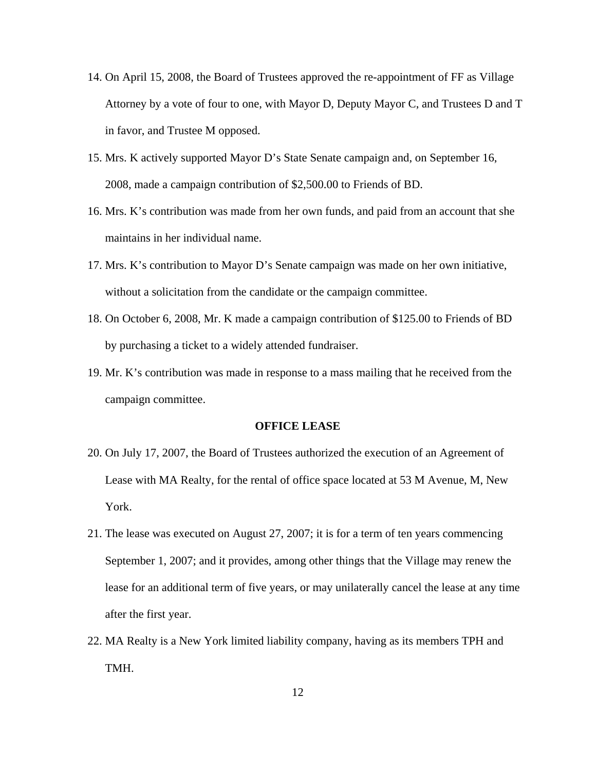- 14. On April 15, 2008, the Board of Trustees approved the re-appointment of FF as Village Attorney by a vote of four to one, with Mayor D, Deputy Mayor C, and Trustees D and T in favor, and Trustee M opposed.
- 15. Mrs. K actively supported Mayor D's State Senate campaign and, on September 16, 2008, made a campaign contribution of \$2,500.00 to Friends of BD.
- 16. Mrs. K's contribution was made from her own funds, and paid from an account that she maintains in her individual name.
- 17. Mrs. K's contribution to Mayor D's Senate campaign was made on her own initiative, without a solicitation from the candidate or the campaign committee.
- 18. On October 6, 2008, Mr. K made a campaign contribution of \$125.00 to Friends of BD by purchasing a ticket to a widely attended fundraiser.
- 19. Mr. K's contribution was made in response to a mass mailing that he received from the campaign committee.

#### **OFFICE LEASE**

- 20. On July 17, 2007, the Board of Trustees authorized the execution of an Agreement of Lease with MA Realty, for the rental of office space located at 53 M Avenue, M, New York.
- 21. The lease was executed on August 27, 2007; it is for a term of ten years commencing September 1, 2007; and it provides, among other things that the Village may renew the lease for an additional term of five years, or may unilaterally cancel the lease at any time after the first year.
- 22. MA Realty is a New York limited liability company, having as its members TPH and TMH.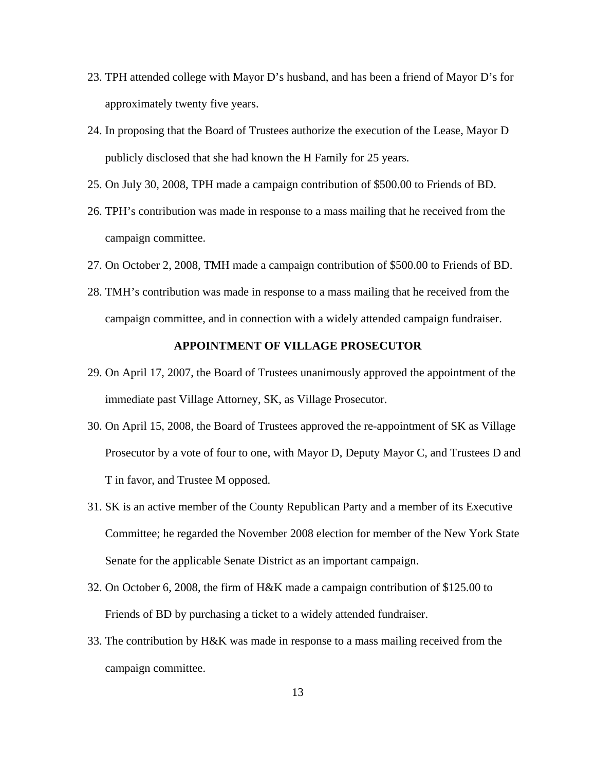- 23. TPH attended college with Mayor D's husband, and has been a friend of Mayor D's for approximately twenty five years.
- 24. In proposing that the Board of Trustees authorize the execution of the Lease, Mayor D publicly disclosed that she had known the H Family for 25 years.
- 25. On July 30, 2008, TPH made a campaign contribution of \$500.00 to Friends of BD.
- 26. TPH's contribution was made in response to a mass mailing that he received from the campaign committee.
- 27. On October 2, 2008, TMH made a campaign contribution of \$500.00 to Friends of BD.
- 28. TMH's contribution was made in response to a mass mailing that he received from the campaign committee, and in connection with a widely attended campaign fundraiser.

### **APPOINTMENT OF VILLAGE PROSECUTOR**

- 29. On April 17, 2007, the Board of Trustees unanimously approved the appointment of the immediate past Village Attorney, SK, as Village Prosecutor.
- 30. On April 15, 2008, the Board of Trustees approved the re-appointment of SK as Village Prosecutor by a vote of four to one, with Mayor D, Deputy Mayor C, and Trustees D and T in favor, and Trustee M opposed.
- 31. SK is an active member of the County Republican Party and a member of its Executive Committee; he regarded the November 2008 election for member of the New York State Senate for the applicable Senate District as an important campaign.
- 32. On October 6, 2008, the firm of H&K made a campaign contribution of \$125.00 to Friends of BD by purchasing a ticket to a widely attended fundraiser.
- 33. The contribution by H&K was made in response to a mass mailing received from the campaign committee.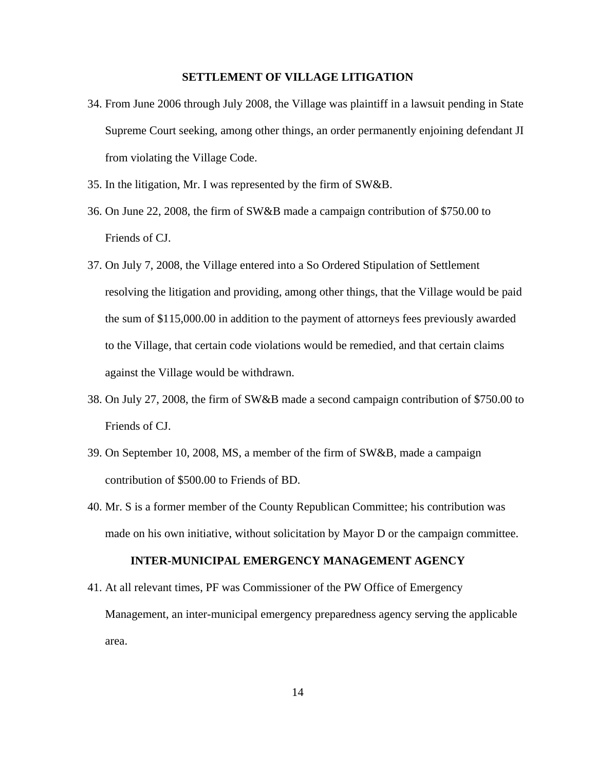#### **SETTLEMENT OF VILLAGE LITIGATION**

- 34. From June 2006 through July 2008, the Village was plaintiff in a lawsuit pending in State Supreme Court seeking, among other things, an order permanently enjoining defendant JI from violating the Village Code.
- 35. In the litigation, Mr. I was represented by the firm of SW&B.
- 36. On June 22, 2008, the firm of SW&B made a campaign contribution of \$750.00 to Friends of CJ.
- 37. On July 7, 2008, the Village entered into a So Ordered Stipulation of Settlement resolving the litigation and providing, among other things, that the Village would be paid the sum of \$115,000.00 in addition to the payment of attorneys fees previously awarded to the Village, that certain code violations would be remedied, and that certain claims against the Village would be withdrawn.
- 38. On July 27, 2008, the firm of SW&B made a second campaign contribution of \$750.00 to Friends of CJ.
- 39. On September 10, 2008, MS, a member of the firm of SW&B, made a campaign contribution of \$500.00 to Friends of BD.
- 40. Mr. S is a former member of the County Republican Committee; his contribution was made on his own initiative, without solicitation by Mayor D or the campaign committee.

#### **INTER-MUNICIPAL EMERGENCY MANAGEMENT AGENCY**

41. At all relevant times, PF was Commissioner of the PW Office of Emergency Management, an inter-municipal emergency preparedness agency serving the applicable area.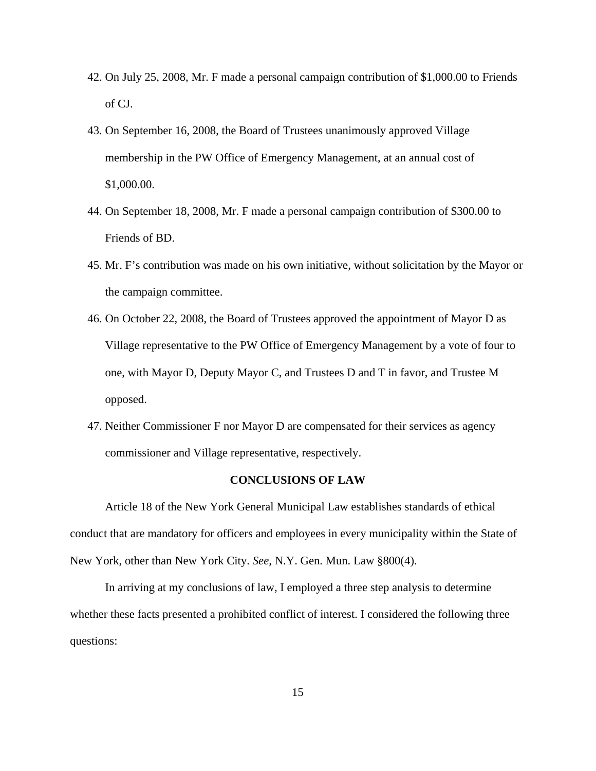- 42. On July 25, 2008, Mr. F made a personal campaign contribution of \$1,000.00 to Friends of CJ.
- 43. On September 16, 2008, the Board of Trustees unanimously approved Village membership in the PW Office of Emergency Management, at an annual cost of \$1,000.00.
- 44. On September 18, 2008, Mr. F made a personal campaign contribution of \$300.00 to Friends of BD.
- 45. Mr. F's contribution was made on his own initiative, without solicitation by the Mayor or the campaign committee.
- 46. On October 22, 2008, the Board of Trustees approved the appointment of Mayor D as Village representative to the PW Office of Emergency Management by a vote of four to one, with Mayor D, Deputy Mayor C, and Trustees D and T in favor, and Trustee M opposed.
- 47. Neither Commissioner F nor Mayor D are compensated for their services as agency commissioner and Village representative, respectively.

#### **CONCLUSIONS OF LAW**

 Article 18 of the New York General Municipal Law establishes standards of ethical conduct that are mandatory for officers and employees in every municipality within the State of New York, other than New York City. *See,* N.Y. Gen. Mun. Law §800(4).

 In arriving at my conclusions of law, I employed a three step analysis to determine whether these facts presented a prohibited conflict of interest. I considered the following three questions: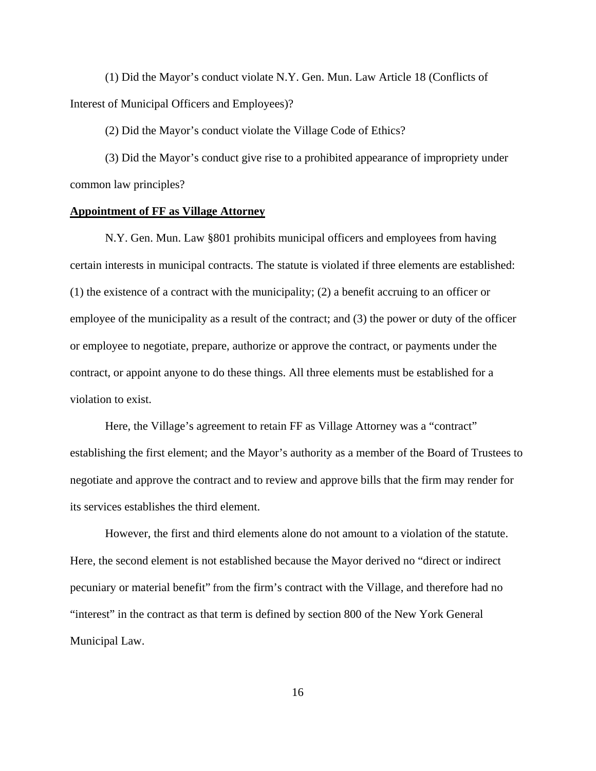(1) Did the Mayor's conduct violate N.Y. Gen. Mun. Law Article 18 (Conflicts of Interest of Municipal Officers and Employees)?

(2) Did the Mayor's conduct violate the Village Code of Ethics?

 (3) Did the Mayor's conduct give rise to a prohibited appearance of impropriety under common law principles?

#### **Appointment of FF as Village Attorney**

 N.Y. Gen. Mun. Law §801 prohibits municipal officers and employees from having certain interests in municipal contracts. The statute is violated if three elements are established: (1) the existence of a contract with the municipality; (2) a benefit accruing to an officer or employee of the municipality as a result of the contract; and (3) the power or duty of the officer or employee to negotiate, prepare, authorize or approve the contract, or payments under the contract, or appoint anyone to do these things. All three elements must be established for a violation to exist.

 Here, the Village's agreement to retain FF as Village Attorney was a "contract" establishing the first element; and the Mayor's authority as a member of the Board of Trustees to negotiate and approve the contract and to review and approve bills that the firm may render for its services establishes the third element.

 However, the first and third elements alone do not amount to a violation of the statute. Here, the second element is not established because the Mayor derived no "direct or indirect pecuniary or material benefit" from the firm's contract with the Village, and therefore had no "interest" in the contract as that term is defined by section 800 of the New York General Municipal Law.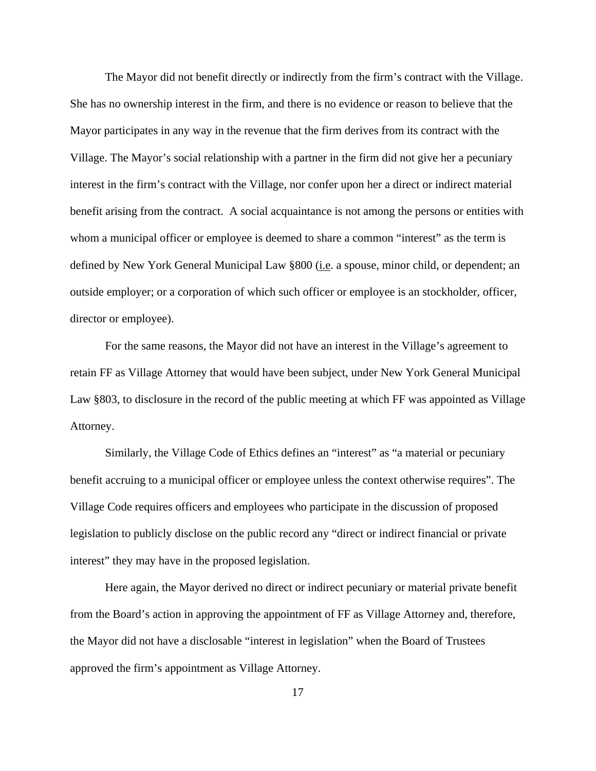The Mayor did not benefit directly or indirectly from the firm's contract with the Village. She has no ownership interest in the firm, and there is no evidence or reason to believe that the Mayor participates in any way in the revenue that the firm derives from its contract with the Village. The Mayor's social relationship with a partner in the firm did not give her a pecuniary interest in the firm's contract with the Village, nor confer upon her a direct or indirect material benefit arising from the contract. A social acquaintance is not among the persons or entities with whom a municipal officer or employee is deemed to share a common "interest" as the term is defined by New York General Municipal Law §800 (i.e. a spouse, minor child, or dependent; an outside employer; or a corporation of which such officer or employee is an stockholder, officer, director or employee).

 For the same reasons, the Mayor did not have an interest in the Village's agreement to retain FF as Village Attorney that would have been subject, under New York General Municipal Law §803, to disclosure in the record of the public meeting at which FF was appointed as Village Attorney.

 Similarly, the Village Code of Ethics defines an "interest" as "a material or pecuniary benefit accruing to a municipal officer or employee unless the context otherwise requires". The Village Code requires officers and employees who participate in the discussion of proposed legislation to publicly disclose on the public record any "direct or indirect financial or private interest" they may have in the proposed legislation.

Here again, the Mayor derived no direct or indirect pecuniary or material private benefit from the Board's action in approving the appointment of FF as Village Attorney and, therefore, the Mayor did not have a disclosable "interest in legislation" when the Board of Trustees approved the firm's appointment as Village Attorney.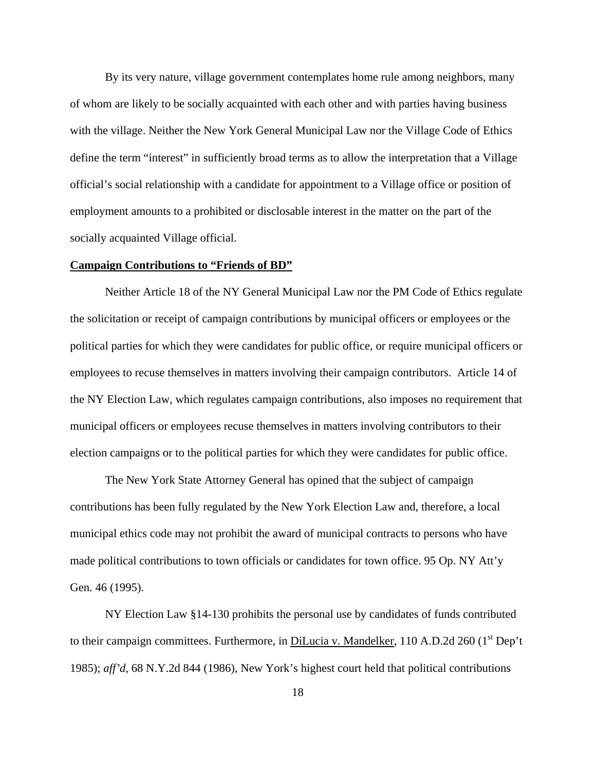By its very nature, village government contemplates home rule among neighbors, many of whom are likely to be socially acquainted with each other and with parties having business with the village. Neither the New York General Municipal Law nor the Village Code of Ethics define the term "interest" in sufficiently broad terms as to allow the interpretation that a Village official's social relationship with a candidate for appointment to a Village office or position of employment amounts to a prohibited or disclosable interest in the matter on the part of the socially acquainted Village official.

#### **Campaign Contributions to "Friends of BD"**

 Neither Article 18 of the NY General Municipal Law nor the PM Code of Ethics regulate the solicitation or receipt of campaign contributions by municipal officers or employees or the political parties for which they were candidates for public office, or require municipal officers or employees to recuse themselves in matters involving their campaign contributors. Article 14 of the NY Election Law, which regulates campaign contributions, also imposes no requirement that municipal officers or employees recuse themselves in matters involving contributors to their election campaigns or to the political parties for which they were candidates for public office.

The New York State Attorney General has opined that the subject of campaign contributions has been fully regulated by the New York Election Law and, therefore, a local municipal ethics code may not prohibit the award of municipal contracts to persons who have made political contributions to town officials or candidates for town office. 95 Op. NY Att'y Gen. 46 (1995).

NY Election Law §14-130 prohibits the personal use by candidates of funds contributed to their campaign committees. Furthermore, in DiLucia v. Mandelker, 110 A.D.2d 260 ( $1<sup>st</sup>$  Dep't 1985); *aff'd*, 68 N.Y.2d 844 (1986), New York's highest court held that political contributions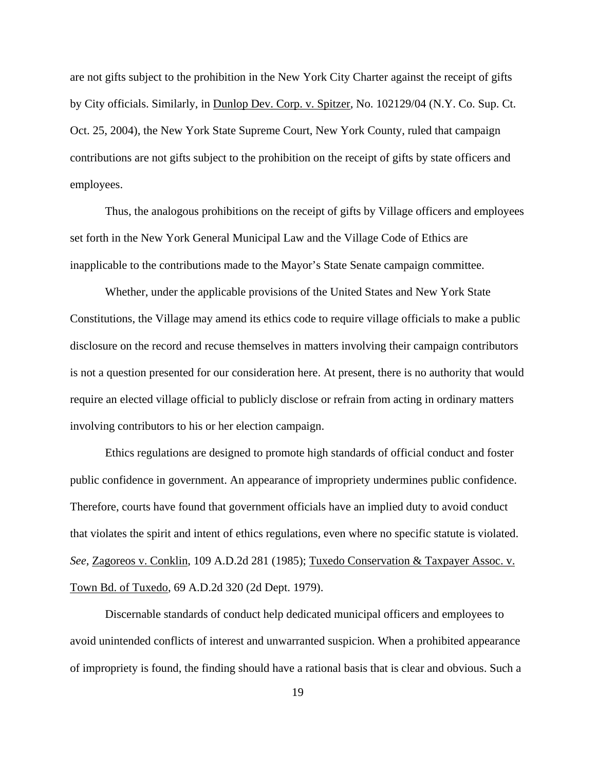are not gifts subject to the prohibition in the New York City Charter against the receipt of gifts by City officials. Similarly, in Dunlop Dev. Corp. v. Spitzer, No. 102129/04 (N.Y. Co. Sup. Ct. Oct. 25, 2004), the New York State Supreme Court, New York County, ruled that campaign contributions are not gifts subject to the prohibition on the receipt of gifts by state officers and employees.

 Thus, the analogous prohibitions on the receipt of gifts by Village officers and employees set forth in the New York General Municipal Law and the Village Code of Ethics are inapplicable to the contributions made to the Mayor's State Senate campaign committee.

Whether, under the applicable provisions of the United States and New York State Constitutions, the Village may amend its ethics code to require village officials to make a public disclosure on the record and recuse themselves in matters involving their campaign contributors is not a question presented for our consideration here. At present, there is no authority that would require an elected village official to publicly disclose or refrain from acting in ordinary matters involving contributors to his or her election campaign.

 Ethics regulations are designed to promote high standards of official conduct and foster public confidence in government. An appearance of impropriety undermines public confidence. Therefore, courts have found that government officials have an implied duty to avoid conduct that violates the spirit and intent of ethics regulations, even where no specific statute is violated. *See,* Zagoreos v. Conklin, 109 A.D.2d 281 (1985); Tuxedo Conservation & Taxpayer Assoc. v. Town Bd. of Tuxedo, 69 A.D.2d 320 (2d Dept. 1979).

 Discernable standards of conduct help dedicated municipal officers and employees to avoid unintended conflicts of interest and unwarranted suspicion. When a prohibited appearance of impropriety is found, the finding should have a rational basis that is clear and obvious. Such a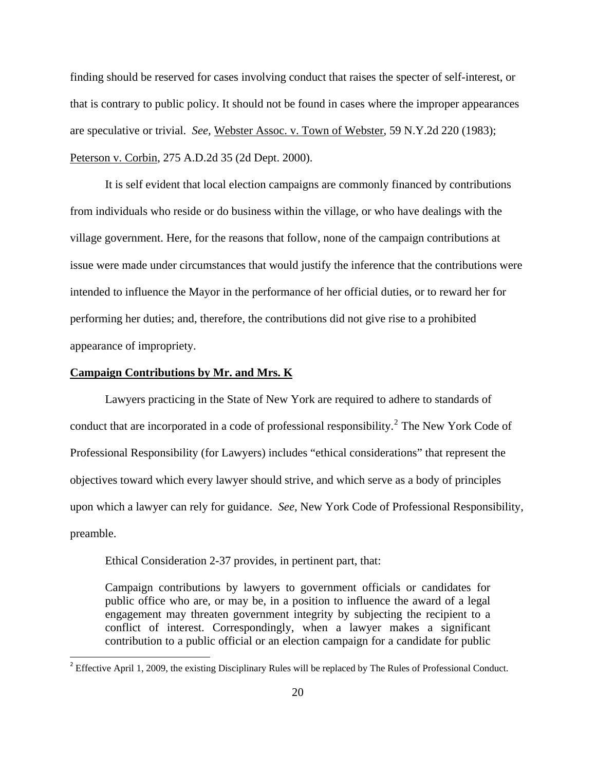finding should be reserved for cases involving conduct that raises the specter of self-interest, or that is contrary to public policy. It should not be found in cases where the improper appearances are speculative or trivial. *See,* Webster Assoc. v. Town of Webster, 59 N.Y.2d 220 (1983); Peterson v. Corbin, 275 A.D.2d 35 (2d Dept. 2000).

It is self evident that local election campaigns are commonly financed by contributions from individuals who reside or do business within the village, or who have dealings with the village government. Here, for the reasons that follow, none of the campaign contributions at issue were made under circumstances that would justify the inference that the contributions were intended to influence the Mayor in the performance of her official duties, or to reward her for performing her duties; and, therefore, the contributions did not give rise to a prohibited appearance of impropriety.

#### **Campaign Contributions by Mr. and Mrs. K**

 Lawyers practicing in the State of New York are required to adhere to standards of conduct that are incorporated in a code of professional responsibility.<sup>[2](#page-21-0)</sup> The New York Code of Professional Responsibility (for Lawyers) includes "ethical considerations" that represent the objectives toward which every lawyer should strive, and which serve as a body of principles upon which a lawyer can rely for guidance. *See,* New York Code of Professional Responsibility, preamble.

Ethical Consideration 2-37 provides, in pertinent part, that:

Campaign contributions by lawyers to government officials or candidates for public office who are, or may be, in a position to influence the award of a legal engagement may threaten government integrity by subjecting the recipient to a conflict of interest. Correspondingly, when a lawyer makes a significant contribution to a public official or an election campaign for a candidate for public

<span id="page-21-0"></span><sup>&</sup>lt;sup>2</sup> Effective April 1, 2009, the existing Disciplinary Rules will be replaced by The Rules of Professional Conduct.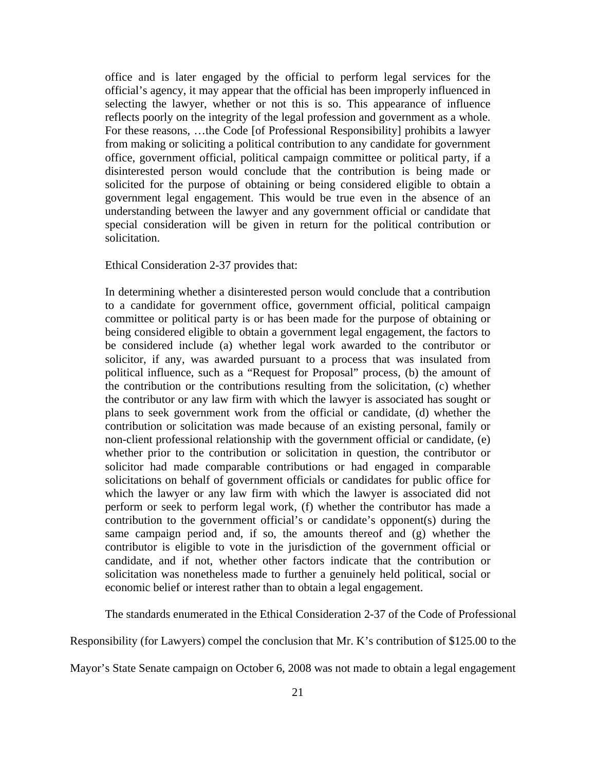office and is later engaged by the official to perform legal services for the official's agency, it may appear that the official has been improperly influenced in selecting the lawyer, whether or not this is so. This appearance of influence reflects poorly on the integrity of the legal profession and government as a whole. For these reasons, …the Code [of Professional Responsibility] prohibits a lawyer from making or soliciting a political contribution to any candidate for government office, government official, political campaign committee or political party, if a disinterested person would conclude that the contribution is being made or solicited for the purpose of obtaining or being considered eligible to obtain a government legal engagement. This would be true even in the absence of an understanding between the lawyer and any government official or candidate that special consideration will be given in return for the political contribution or solicitation.

# Ethical Consideration 2-37 provides that:

In determining whether a disinterested person would conclude that a contribution to a candidate for government office, government official, political campaign committee or political party is or has been made for the purpose of obtaining or being considered eligible to obtain a government legal engagement, the factors to be considered include (a) whether legal work awarded to the contributor or solicitor, if any, was awarded pursuant to a process that was insulated from political influence, such as a "Request for Proposal" process, (b) the amount of the contribution or the contributions resulting from the solicitation, (c) whether the contributor or any law firm with which the lawyer is associated has sought or plans to seek government work from the official or candidate, (d) whether the contribution or solicitation was made because of an existing personal, family or non-client professional relationship with the government official or candidate, (e) whether prior to the contribution or solicitation in question, the contributor or solicitor had made comparable contributions or had engaged in comparable solicitations on behalf of government officials or candidates for public office for which the lawyer or any law firm with which the lawyer is associated did not perform or seek to perform legal work, (f) whether the contributor has made a contribution to the government official's or candidate's opponent(s) during the same campaign period and, if so, the amounts thereof and (g) whether the contributor is eligible to vote in the jurisdiction of the government official or candidate, and if not, whether other factors indicate that the contribution or solicitation was nonetheless made to further a genuinely held political, social or economic belief or interest rather than to obtain a legal engagement.

The standards enumerated in the Ethical Consideration 2-37 of the Code of Professional

Responsibility (for Lawyers) compel the conclusion that Mr. K's contribution of \$125.00 to the

Mayor's State Senate campaign on October 6, 2008 was not made to obtain a legal engagement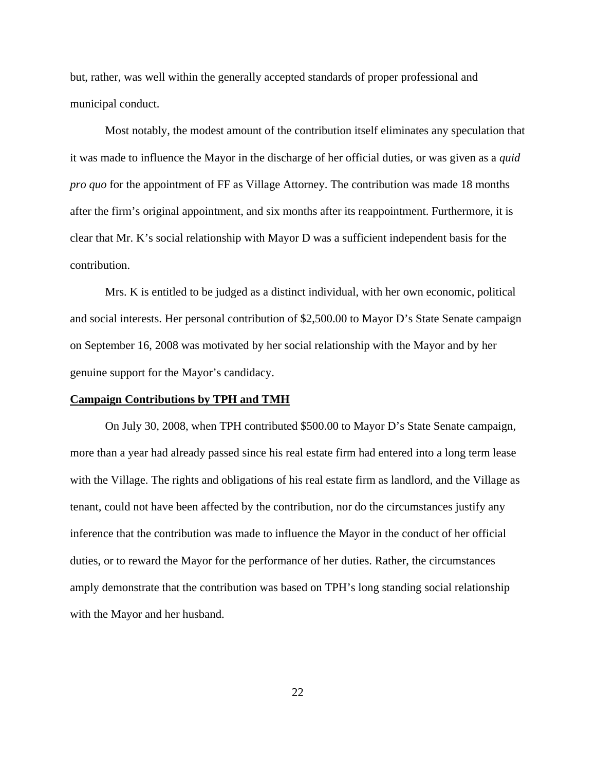but, rather, was well within the generally accepted standards of proper professional and municipal conduct.

 Most notably, the modest amount of the contribution itself eliminates any speculation that it was made to influence the Mayor in the discharge of her official duties, or was given as a *quid pro quo* for the appointment of FF as Village Attorney. The contribution was made 18 months after the firm's original appointment, and six months after its reappointment. Furthermore, it is clear that Mr. K's social relationship with Mayor D was a sufficient independent basis for the contribution.

 Mrs. K is entitled to be judged as a distinct individual, with her own economic, political and social interests. Her personal contribution of \$2,500.00 to Mayor D's State Senate campaign on September 16, 2008 was motivated by her social relationship with the Mayor and by her genuine support for the Mayor's candidacy.

#### **Campaign Contributions by TPH and TMH**

 On July 30, 2008, when TPH contributed \$500.00 to Mayor D's State Senate campaign, more than a year had already passed since his real estate firm had entered into a long term lease with the Village. The rights and obligations of his real estate firm as landlord, and the Village as tenant, could not have been affected by the contribution, nor do the circumstances justify any inference that the contribution was made to influence the Mayor in the conduct of her official duties, or to reward the Mayor for the performance of her duties. Rather, the circumstances amply demonstrate that the contribution was based on TPH's long standing social relationship with the Mayor and her husband.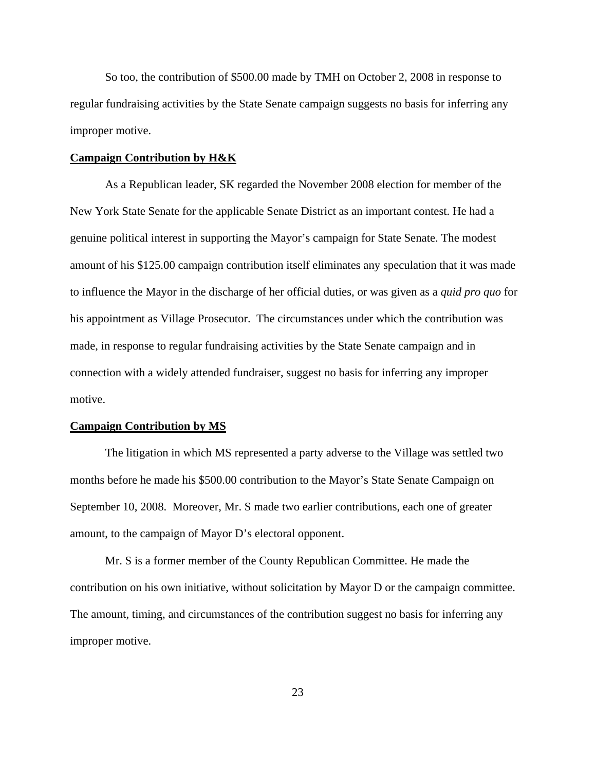So too, the contribution of \$500.00 made by TMH on October 2, 2008 in response to regular fundraising activities by the State Senate campaign suggests no basis for inferring any improper motive.

#### **Campaign Contribution by H&K**

 As a Republican leader, SK regarded the November 2008 election for member of the New York State Senate for the applicable Senate District as an important contest. He had a genuine political interest in supporting the Mayor's campaign for State Senate. The modest amount of his \$125.00 campaign contribution itself eliminates any speculation that it was made to influence the Mayor in the discharge of her official duties, or was given as a *quid pro quo* for his appointment as Village Prosecutor. The circumstances under which the contribution was made, in response to regular fundraising activities by the State Senate campaign and in connection with a widely attended fundraiser, suggest no basis for inferring any improper motive.

#### **Campaign Contribution by MS**

 The litigation in which MS represented a party adverse to the Village was settled two months before he made his \$500.00 contribution to the Mayor's State Senate Campaign on September 10, 2008. Moreover, Mr. S made two earlier contributions, each one of greater amount, to the campaign of Mayor D's electoral opponent.

 Mr. S is a former member of the County Republican Committee. He made the contribution on his own initiative, without solicitation by Mayor D or the campaign committee. The amount, timing, and circumstances of the contribution suggest no basis for inferring any improper motive.

23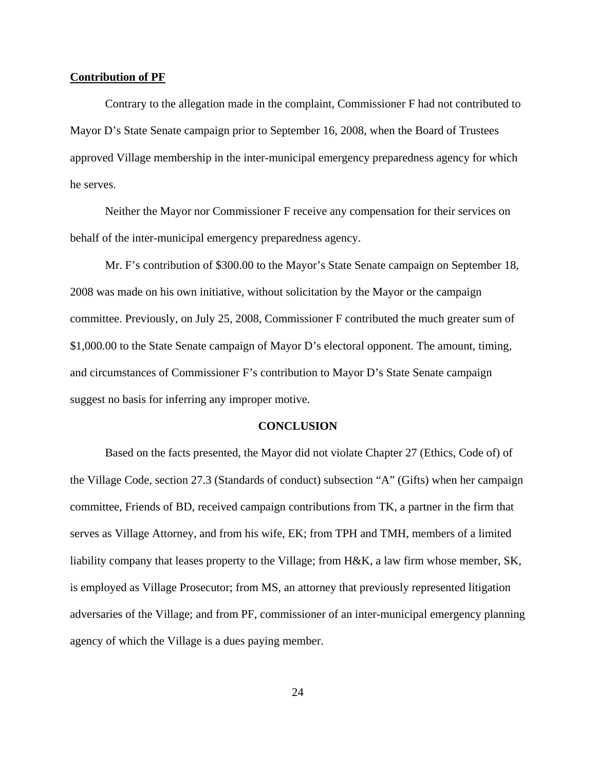#### **Contribution of PF**

Contrary to the allegation made in the complaint, Commissioner F had not contributed to Mayor D's State Senate campaign prior to September 16, 2008, when the Board of Trustees approved Village membership in the inter-municipal emergency preparedness agency for which he serves.

Neither the Mayor nor Commissioner F receive any compensation for their services on behalf of the inter-municipal emergency preparedness agency.

Mr. F's contribution of \$300.00 to the Mayor's State Senate campaign on September 18, 2008 was made on his own initiative, without solicitation by the Mayor or the campaign committee. Previously, on July 25, 2008, Commissioner F contributed the much greater sum of \$1,000.00 to the State Senate campaign of Mayor D's electoral opponent. The amount, timing, and circumstances of Commissioner F's contribution to Mayor D's State Senate campaign suggest no basis for inferring any improper motive.

#### **CONCLUSION**

Based on the facts presented, the Mayor did not violate Chapter 27 (Ethics, Code of) of the Village Code, section 27.3 (Standards of conduct) subsection "A" (Gifts) when her campaign committee, Friends of BD, received campaign contributions from TK, a partner in the firm that serves as Village Attorney, and from his wife, EK; from TPH and TMH, members of a limited liability company that leases property to the Village; from H&K, a law firm whose member, SK, is employed as Village Prosecutor; from MS, an attorney that previously represented litigation adversaries of the Village; and from PF, commissioner of an inter-municipal emergency planning agency of which the Village is a dues paying member.